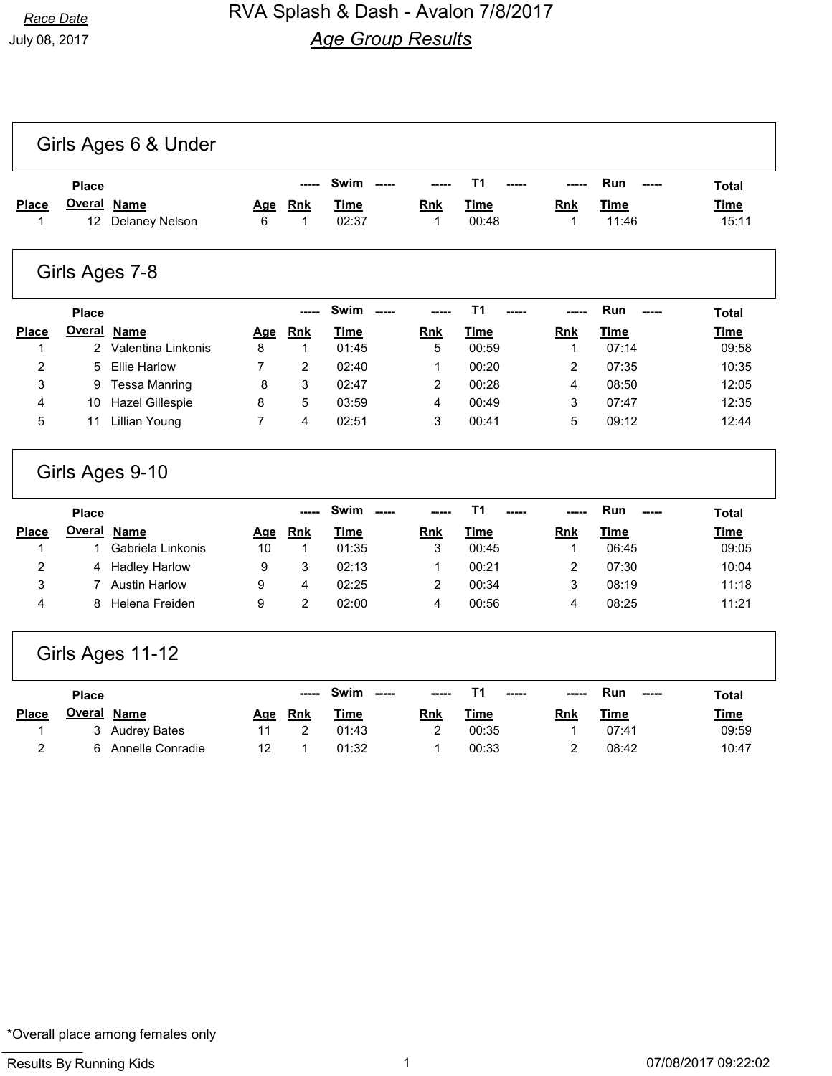|                       | <b>Place</b>                      |                                      |                 | -----                     | Swim<br>$- - - - -$          | -----                      | T <sub>1</sub><br>----- |                           | Run<br>-----         | <b>Total</b>         |
|-----------------------|-----------------------------------|--------------------------------------|-----------------|---------------------------|------------------------------|----------------------------|-------------------------|---------------------------|----------------------|----------------------|
| Place<br>$\mathbf{1}$ | <b>Overal</b><br>12 <sup>12</sup> | <b>Name</b><br><b>Delaney Nelson</b> | <u>Age</u><br>6 | <b>Rnk</b><br>$\mathbf 1$ | <b>Time</b><br>02:37         | <b>Rnk</b><br>$\mathbf{1}$ | Time<br>00:48           | <b>Rnk</b><br>$\mathbf 1$ | <b>Time</b><br>11:46 | <b>Time</b><br>15:11 |
|                       |                                   | Girls Ages 7-8                       |                 |                           |                              |                            |                         |                           |                      |                      |
|                       | <b>Place</b>                      |                                      |                 |                           | <b>Swim</b><br>$\frac{1}{2}$ |                            | T1                      |                           | Run                  | <b>Total</b>         |
| Place                 | <b>Overal</b>                     | <b>Name</b>                          | <u>Age</u>      | <b>Rnk</b>                | <b>Time</b>                  | Rnk                        | <b>Time</b>             | <b>Rnk</b>                | <b>Time</b>          | <b>Time</b>          |
| 1                     | 2                                 | Valentina Linkonis                   | 8               | $\mathbf{1}$              | 01:45                        | 5                          | 00:59                   | 1                         | 07:14                | 09:58                |
| $\overline{c}$        | 5                                 | <b>Ellie Harlow</b>                  | 7               | 2                         | 02:40                        | 1                          | 00:20                   | 2                         | 07:35                | 10:35                |
| 3                     | 9                                 | <b>Tessa Manring</b>                 | 8               | 3                         | 02:47                        | 2                          | 00:28                   | 4                         | 08:50                | 12:05                |
| 4                     | 10                                | <b>Hazel Gillespie</b>               | 8               | 5                         | 03:59                        | 4                          | 00:49                   | 3                         | 07:47                | 12:35                |
| 5                     | 11                                | <b>Lillian Young</b>                 | $\overline{7}$  | 4                         | 02:51                        | 3                          | 00:41                   | 5                         | 09:12                | 12:44                |
|                       |                                   | Girls Ages 9-10                      |                 |                           |                              |                            |                         |                           |                      |                      |
|                       | <b>Place</b>                      |                                      |                 |                           | Swim<br>$- - - -$            | ----                       | T <sub>1</sub>          |                           | Run                  | <b>Total</b>         |
| <b>Place</b>          | <b>Overal</b>                     | <b>Name</b>                          | Age             | Rnk                       | <b>Time</b>                  | Rnk                        | <b>Time</b>             | <b>Rnk</b>                | <b>Time</b>          | <u>Time</u>          |
| 1                     | 1                                 | Gabriela Linkonis                    | 10              | $\mathbf{1}$              | 01:35                        | 3                          | 00:45                   | 1                         | 06:45                | 09:05                |
| 2                     | 4                                 | <b>Hadley Harlow</b>                 | 9               | 3                         | 02:13                        | 1                          | 00:21                   | 2                         | 07:30                | 10:04                |
| 3                     | 7                                 | <b>Austin Harlow</b>                 | 9               | 4                         | 02:25                        | $\overline{2}$             | 00:34                   | 3                         | 08:19                | 11:18                |
| 4                     | 8                                 | Helena Freiden                       | 9               | $\overline{2}$            | 02:00                        | 4                          | 00:56                   | 4                         | 08:25                | 11:21                |
|                       |                                   | Girls Ages 11-12                     |                 |                           |                              |                            |                         |                           |                      |                      |
|                       | <b>Place</b>                      |                                      |                 |                           | Swim                         |                            | T <sub>1</sub>          |                           | Run                  | <b>Total</b>         |
|                       |                                   |                                      |                 |                           |                              |                            |                         |                           |                      |                      |
| Place                 | <b>Overal</b>                     | <b>Name</b>                          | <u>Age</u>      | <b>Rnk</b>                | <b>Time</b>                  | <b>Rnk</b>                 | <b>Time</b>             | <b>Rnk</b>                | <b>Time</b>          | <b>Time</b>          |

2 6 Annelle Conradie 12 1 01:32 1 00:33 2 08:42 10:47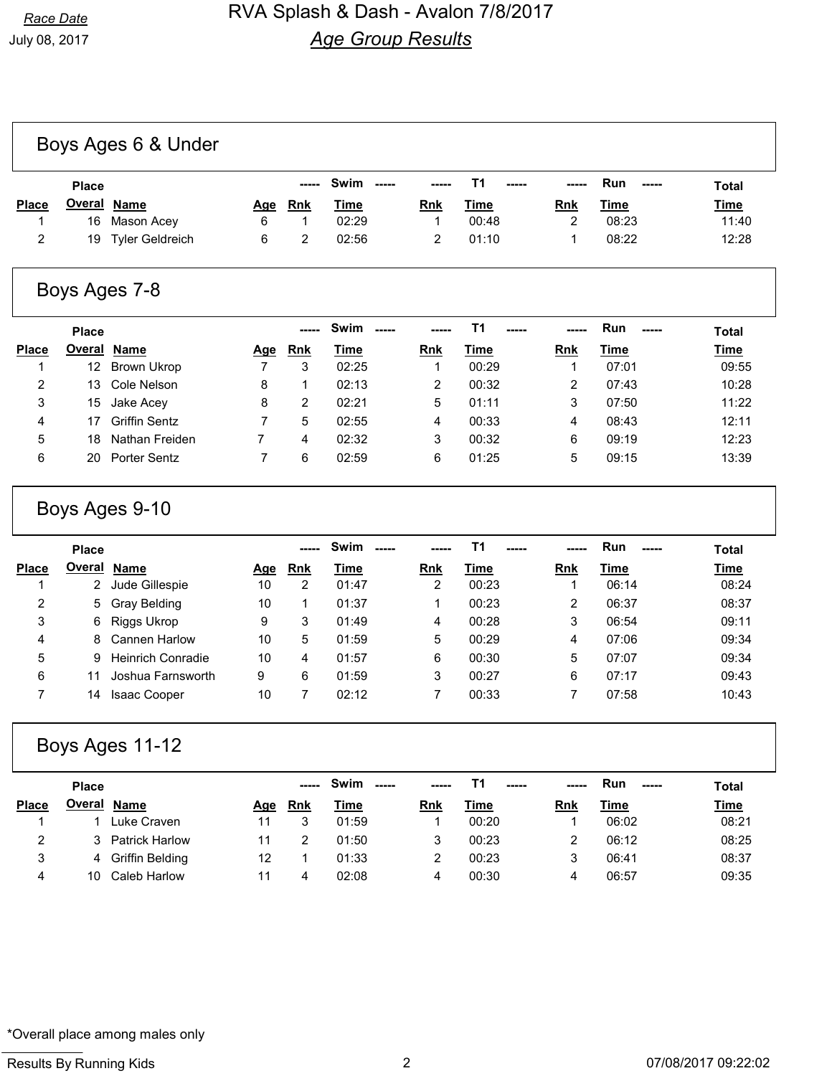|              | <b>Place</b>  |                    |     |            | ----- Swim<br>----- | $- - - - -$ | $\begin{array}{c} - - - - - \end{array}$ | $- - - - -$ | <b>Run</b><br>$\begin{array}{c} \texttt{---} \end{array}$ | <b>Total</b> |
|--------------|---------------|--------------------|-----|------------|---------------------|-------------|------------------------------------------|-------------|-----------------------------------------------------------|--------------|
| <b>Place</b> | <u>Overal</u> | Name               | Age | <u>Rnk</u> | <u>Time</u>         | Rnk         | <u>Time</u>                              | Rnk         | <u>Time</u>                                               | <b>Time</b>  |
|              |               | 16 Mason Acey      | 6.  |            | 02:29               |             | 00:48                                    |             | 08:23                                                     | 11:40        |
| 2            |               | 19 Tyler Geldreich |     |            | 02:56               |             | 01:10                                    |             | 08:22                                                     | 12:28        |

### Boys Ages 7-8

|                | <b>Place</b> |                      |     |            | Swim  |            | T <sub>1</sub><br>----- |            | Run<br>----- | <b>Total</b> |
|----------------|--------------|----------------------|-----|------------|-------|------------|-------------------------|------------|--------------|--------------|
| <b>Place</b>   | Overal       | Name                 | Age | <b>Rnk</b> | Time  | <b>Rnk</b> | Time                    | <b>Rnk</b> | Time         | <b>Time</b>  |
|                | 12           | Brown Ukrop          |     | 3          | 02:25 |            | 00:29                   |            | 07:01        | 09:55        |
| $\overline{2}$ | 13           | Cole Nelson          | 8   |            | 02:13 | 2          | 00:32                   |            | 07:43        | 10:28        |
| 3              | 15           | Jake Acey            | 8   | 2          | 02:21 | 5          | 01:11                   | 3          | 07:50        | 11:22        |
| 4              |              | <b>Griffin Sentz</b> |     | 5          | 02:55 | 4          | 00:33                   | 4          | 08:43        | 12:11        |
| 5              | 18           | Nathan Freiden       |     | 4          | 02:32 | 3          | 00:32                   | 6          | 09:19        | 12:23        |
| 6              | 20           | <b>Porter Sentz</b>  |     | 6          | 02:59 | 6          | 01:25                   | 5          | 09:15        | 13:39        |

## Boys Ages 9-10

|              | <b>Place</b>       |                          |     |            | <b>Swim</b> | -----      | т1    |            | Run   | <b>Total</b> |
|--------------|--------------------|--------------------------|-----|------------|-------------|------------|-------|------------|-------|--------------|
| <b>Place</b> | <b>Overal Name</b> |                          | Age | <b>Rnk</b> | Time        | <b>Rnk</b> | Time  | <b>Rnk</b> | Time  | <b>Time</b>  |
|              | 2                  | Jude Gillespie           | 10  | 2          | 01:47       | 2          | 00:23 |            | 06:14 | 08:24        |
| 2            | 5.                 | Gray Belding             | 10  |            | 01:37       |            | 00:23 | 2          | 06:37 | 08:37        |
| 3            | 6.                 | Riggs Ukrop              | 9   | 3          | 01:49       | 4          | 00:28 | 3          | 06:54 | 09:11        |
| 4            | 8                  | <b>Cannen Harlow</b>     | 10  | 5          | 01:59       | 5          | 00:29 | 4          | 07:06 | 09:34        |
| 5            | 9.                 | <b>Heinrich Conradie</b> | 10  | 4          | 01:57       | 6          | 00:30 | 5          | 07:07 | 09:34        |
| 6            |                    | Joshua Farnsworth        | 9   | 6          | 01:59       | 3          | 00:27 | 6          | 07:17 | 09:43        |
|              | 14                 | <b>Isaac Cooper</b>      | 10  |            | 02:12       |            | 00:33 |            | 07:58 | 10:43        |

## Boys Ages 11-12

|              | <b>Place</b> |                       |     |            | Swim<br>----- | -----      | $- - - - -$ | -----      | Run<br>$- - - - -$ | <b>Total</b> |
|--------------|--------------|-----------------------|-----|------------|---------------|------------|-------------|------------|--------------------|--------------|
| <b>Place</b> |              | <b>Overal Name</b>    | Age | <b>Rnk</b> | Time          | <b>Rnk</b> | Time        | <b>Rnk</b> | Time               | <b>Time</b>  |
|              |              | Luke Craven           | 11  |            | 01:59         |            | 00:20       |            | 06:02              | 08:21        |
|              |              | <b>Patrick Harlow</b> |     |            | 01:50         |            | 00:23       |            | 06:12              | 08:25        |
| 3            | 4            | Griffin Belding       | 12  |            | 01:33         |            | 00:23       |            | 06:41              | 08:37        |
| 4            | 10           | Caleb Harlow          |     |            | 02:08         | 4          | 00:30       | 4          | 06:57              | 09:35        |

#### \*Overall place among males only